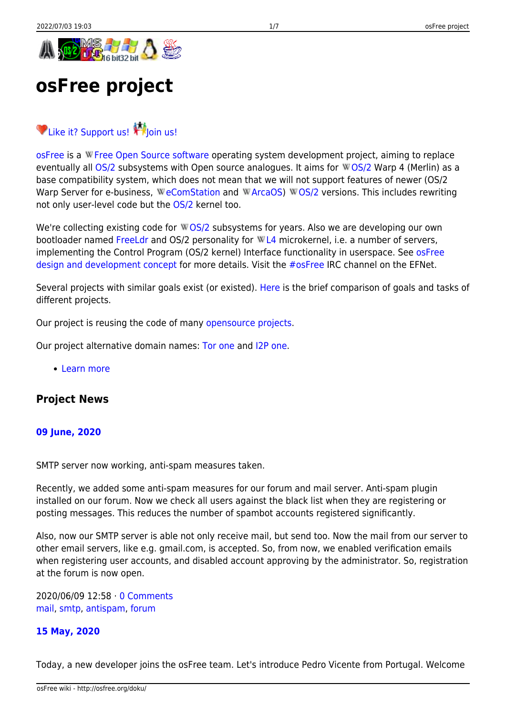# <span id="page-0-0"></span>**osFree project**

# [Like it? Support us!](http://osfree.org/doku/en:donate) Thoin us!

[osFree](http://osfree.org/doku/en:about) is a WFree Open Source software operating system development project, aiming to replace eventually all  $OS/2$  subsystems with Open source analogues. It aims for WOS/2 Warp 4 (Merlin) as a base compatibility system, which does not mean that we will not support features of newer (OS/2 Warp Server for e-business, WeComStation and WArcaOS) W[OS/2](https://en.wikipedia.org/wiki/OS/2) versions. This includes rewriting not only user-level code but the [OS/2](http://osfree.org/doku/en:os_2) kernel too.

We're collecting existing code for WOS/2 subsystems for years. Also we are developing our own bootloader named [FreeLdr](http://osfree.org/doku/en:freeldr) and OS/2 personality for WL4 microkernel, i.e. a number of servers, implementing the Control Program (OS/2 kernel) Interface functionality in userspace. See [osFree](http://osfree.org/doku/en:docs:general:index) [design and development concept](http://osfree.org/doku/en:docs:general:index) for more details. Visit the [#osFree](irc://irc.inet.tele.dk/osfree) IRC channel on the EFNet.

Several projects with similar goals exist (or existed). [Here](http://osfree.org/doku/en:docs:projects) is the brief comparison of goals and tasks of different projects.

Our project is reusing the code of many [opensource projects](http://osfree.org/doku/en:credits).

Our project alternative domain names: [Tor one](http://osfreeorgysalbcqrk3kqib55urra2mvtfmsoezcqwop2fed7jc64gqd.onion) and [I2P one.](http://yf2xankbjprn7xs2pd67xix7idfqyxbbl2zul3dgwln2wwefqjsa.b32.i2p)

• [Learn more](http://osfree.org/doku/en:about)

### **Project News**

#### **[09 June, 2020](http://osfree.org/doku/en:news:news-2020-06-09)**

SMTP server now working, anti-spam measures taken.

Recently, we added some anti-spam measures for our forum and mail server. Anti-spam plugin installed on our forum. Now we check all users against the black list when they are registering or posting messages. This reduces the number of spambot accounts registered significantly.

Also, now our SMTP server is able not only receive mail, but send too. Now the mail from our server to other email servers, like e.g. gmail.com, is accepted. So, from now, we enabled verification emails when registering user accounts, and disabled account approving by the administrator. So, registration at the forum is now open.

2020/06/09 12:58 · [0 Comments](http://osfree.org/doku/en:news:news-2020-06-09#discussion__section) [mail,](http://osfree.org/doku/tag:mail?do=showtag&tag=mail) [smtp,](http://osfree.org/doku/tag:smtp?do=showtag&tag=smtp) [antispam](http://osfree.org/doku/tag:antispam?do=showtag&tag=antispam), [forum](http://osfree.org/doku/tag:forum?do=showtag&tag=forum)

#### **[15 May, 2020](http://osfree.org/doku/en:news:news-2020-05-15)**

Today, a new developer joins the osFree team. Let's introduce Pedro Vicente from Portugal. Welcome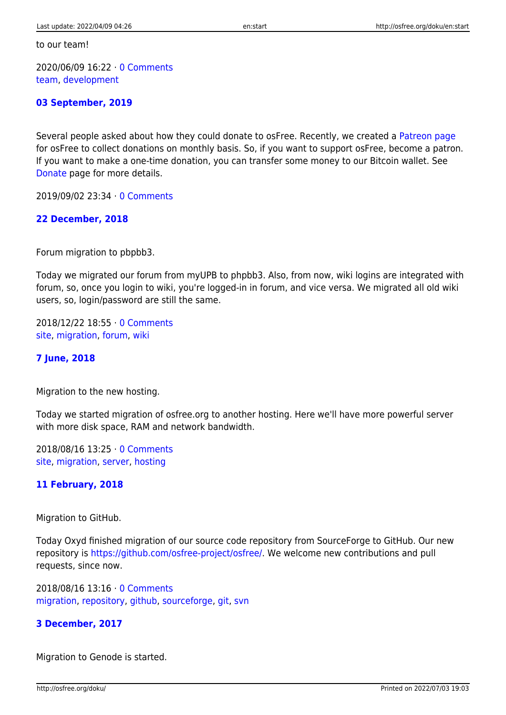to our team!

2020/06/09 16:22 · [0 Comments](http://osfree.org/doku/en:news:news-2020-05-15#discussion__section) [team](http://osfree.org/doku/tag:team?do=showtag&tag=team), [development](http://osfree.org/doku/tag:development?do=showtag&tag=development)

#### **[03 September, 2019](http://osfree.org/doku/en:news:news-2019-09-03)**

Several people asked about how they could donate to osFree. Recently, we created a [Patreon page](https://patreon.com/osfree) for osFree to collect donations on monthly basis. So, if you want to support osFree, become a patron. If you want to make a one-time donation, you can transfer some money to our Bitcoin wallet. See [Donate](http://osfree.org/doku/en:donate) page for more details.

2019/09/02 23:34 · [0 Comments](http://osfree.org/doku/en:news:news-2019-09-03#discussion__section)

#### **[22 December, 2018](http://osfree.org/doku/en:news:news-2018-12-22)**

Forum migration to pbpbb3.

Today we migrated our forum from myUPB to phpbb3. Also, from now, wiki logins are integrated with forum, so, once you login to wiki, you're logged-in in forum, and vice versa. We migrated all old wiki users, so, login/password are still the same.

2018/12/22 18:55 · [0 Comments](http://osfree.org/doku/en:news:news-2018-12-22#discussion__section) [site](http://osfree.org/doku/tag:site?do=showtag&tag=site), [migration](http://osfree.org/doku/tag:migration?do=showtag&tag=migration), [forum](http://osfree.org/doku/tag:forum?do=showtag&tag=forum), [wiki](http://osfree.org/doku/tag:wiki?do=showtag&tag=wiki)

#### **[7 June, 2018](http://osfree.org/doku/en:news:news-2018-06-07)**

Migration to the new hosting.

Today we started migration of osfree.org to another hosting. Here we'll have more powerful server with more disk space, RAM and network bandwidth.

2018/08/16 13:25 · [0 Comments](http://osfree.org/doku/en:news:news-2018-06-07#discussion__section) [site](http://osfree.org/doku/tag:site?do=showtag&tag=site), [migration](http://osfree.org/doku/tag:migration?do=showtag&tag=migration), [server](http://osfree.org/doku/tag:server?do=showtag&tag=server), [hosting](http://osfree.org/doku/tag:hosting?do=showtag&tag=hosting)

#### **[11 February, 2018](http://osfree.org/doku/en:news:news-2018-02-11)**

Migration to GitHub.

Today Oxyd finished migration of our source code repository from SourceForge to GitHub. Our new repository is <https://github.com/osfree-project/osfree/>. We welcome new contributions and pull requests, since now.

2018/08/16 13:16 · [0 Comments](http://osfree.org/doku/en:news:news-2018-02-11#discussion__section) [migration](http://osfree.org/doku/tag:migration?do=showtag&tag=migration), [repository,](http://osfree.org/doku/tag:repository?do=showtag&tag=repository) [github,](http://osfree.org/doku/tag:github?do=showtag&tag=github) [sourceforge](http://osfree.org/doku/tag:sourceforge?do=showtag&tag=sourceforge), [git](http://osfree.org/doku/tag:git?do=showtag&tag=git), [svn](http://osfree.org/doku/tag:svn?do=showtag&tag=svn)

#### **[3 December, 2017](http://osfree.org/doku/en:news:news-2017-12-03)**

Migration to Genode is started.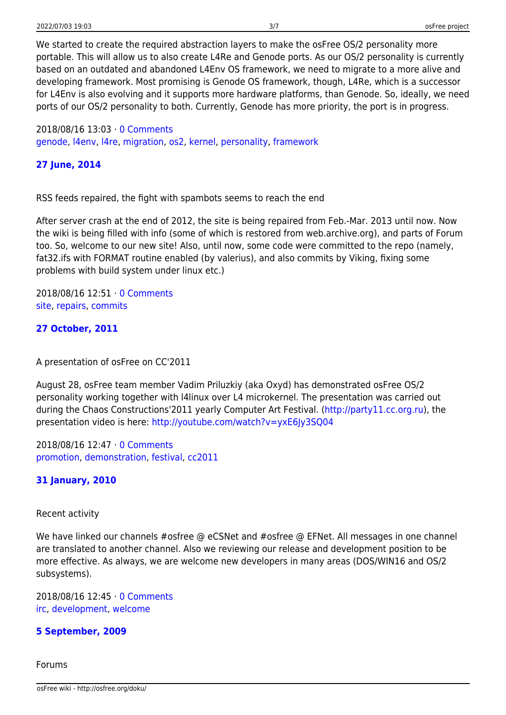We started to create the required abstraction layers to make the osFree OS/2 personality more portable. This will allow us to also create L4Re and Genode ports. As our OS/2 personality is currently based on an outdated and abandoned L4Env OS framework, we need to migrate to a more alive and developing framework. Most promising is Genode OS framework, though, L4Re, which is a successor for L4Env is also evolving and it supports more hardware platforms, than Genode. So, ideally, we need ports of our OS/2 personality to both. Currently, Genode has more priority, the port is in progress.

2018/08/16 13:03 · [0 Comments](http://osfree.org/doku/en:news:news-2017-12-03#discussion__section) [genode,](http://osfree.org/doku/tag:genode?do=showtag&tag=genode) [l4env](http://osfree.org/doku/tag:l4env?do=showtag&tag=l4env), [l4re,](http://osfree.org/doku/tag:l4re?do=showtag&tag=l4re) [migration,](http://osfree.org/doku/tag:migration?do=showtag&tag=migration) [os2](http://osfree.org/doku/tag:os2?do=showtag&tag=os2), [kernel,](http://osfree.org/doku/tag:kernel?do=showtag&tag=kernel) [personality](http://osfree.org/doku/tag:personality?do=showtag&tag=personality), [framework](http://osfree.org/doku/tag:framework?do=showtag&tag=framework)

#### **[27 June, 2014](http://osfree.org/doku/en:news:news-2014-06-27)**

RSS feeds repaired, the fight with spambots seems to reach the end

After server crash at the end of 2012, the site is being repaired from Feb.-Mar. 2013 until now. Now the wiki is being filled with info (some of which is restored from web.archive.org), and parts of Forum too. So, welcome to our new site! Also, until now, some code were committed to the repo (namely, fat32.ifs with FORMAT routine enabled (by valerius), and also commits by Viking, fixing some problems with build system under linux etc.)

2018/08/16 12:51 · [0 Comments](http://osfree.org/doku/en:news:news-2014-06-27#discussion__section) [site](http://osfree.org/doku/tag:site?do=showtag&tag=site), [repairs](http://osfree.org/doku/tag:repairs?do=showtag&tag=repairs), [commits](http://osfree.org/doku/tag:commits?do=showtag&tag=commits)

#### **[27 October, 2011](http://osfree.org/doku/en:news:news-2011-10-27)**

A presentation of osFree on CC'2011

August 28, osFree team member Vadim Priluzkiy (aka Oxyd) has demonstrated osFree OS/2 personality working together with l4linux over L4 microkernel. The presentation was carried out during the Chaos Constructions'2011 yearly Computer Art Festival. [\(http://party11.cc.org.ru](http://party11.cc.org.ru)), the presentation video is here: <http://youtube.com/watch?v=yxE6Jy3SQ04>

2018/08/16 12:47 · [0 Comments](http://osfree.org/doku/en:news:news-2011-10-27#discussion__section) [promotion,](http://osfree.org/doku/tag:promotion?do=showtag&tag=promotion) [demonstration](http://osfree.org/doku/tag:demonstration?do=showtag&tag=demonstration), [festival,](http://osfree.org/doku/tag:festival?do=showtag&tag=festival) [cc2011](http://osfree.org/doku/tag:cc2011?do=showtag&tag=cc2011)

#### **[31 January, 2010](http://osfree.org/doku/en:news:news-2010-01-31)**

#### Recent activity

We have linked our channels #osfree @ eCSNet and #osfree @ EFNet. All messages in one channel are translated to another channel. Also we reviewing our release and development position to be more effective. As always, we are welcome new developers in many areas (DOS/WIN16 and OS/2 subsystems).

2018/08/16 12:45 · [0 Comments](http://osfree.org/doku/en:news:news-2010-01-31#discussion__section) [irc,](http://osfree.org/doku/tag:irc?do=showtag&tag=irc) [development](http://osfree.org/doku/tag:development?do=showtag&tag=development), [welcome](http://osfree.org/doku/tag:welcome?do=showtag&tag=welcome)

#### **[5 September, 2009](http://osfree.org/doku/en:news:news-2009-09-05)**

Forums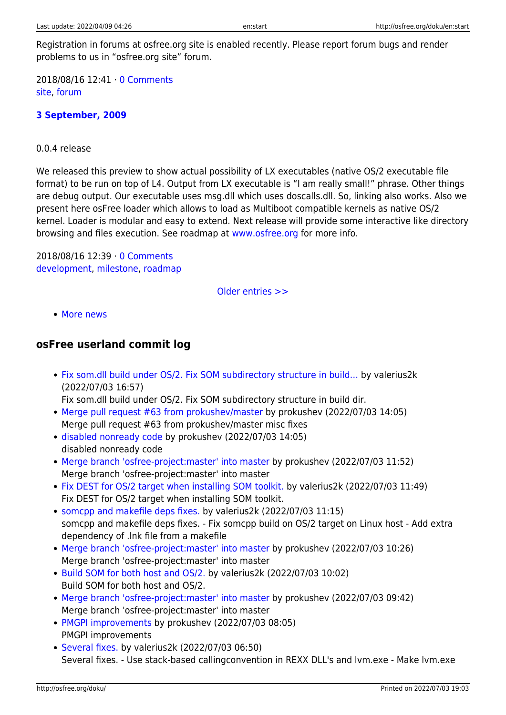Registration in forums at osfree.org site is enabled recently. Please report forum bugs and render problems to us in "osfree.org site" forum.

2018/08/16 12:41 · [0 Comments](http://osfree.org/doku/en:news:news-2009-09-05#discussion__section) [site](http://osfree.org/doku/tag:site?do=showtag&tag=site), [forum](http://osfree.org/doku/tag:forum?do=showtag&tag=forum)

#### **[3 September, 2009](http://osfree.org/doku/en:news:news-2009-09-03)**

0.0.4 release

We released this preview to show actual possibility of LX executables (native OS/2 executable file format) to be run on top of L4. Output from LX executable is "I am really small!" phrase. Other things are debug output. Our executable uses msg.dll which uses doscalls.dll. So, linking also works. Also we present here osFree loader which allows to load as Multiboot compatible kernels as native OS/2 kernel. Loader is modular and easy to extend. Next release will provide some interactive like directory browsing and files execution. See roadmap at [www.osfree.org](http://www.osfree.org) for more info.

2018/08/16 12:39 · [0 Comments](http://osfree.org/doku/en:news:news-2009-09-03#discussion__section) [development,](http://osfree.org/doku/tag:development?do=showtag&tag=development) [milestone,](http://osfree.org/doku/tag:milestone?do=showtag&tag=milestone) [roadmap](http://osfree.org/doku/tag:roadmap?do=showtag&tag=roadmap)

[Older entries >>](http://osfree.org/doku/en:start?first=12)

• [More news](http://osfree.org/doku/en:news)

## **osFree userland commit log**

- [Fix som.dll build under OS/2. Fix SOM subdirectory structure in build…](https://github.com/osfree-project/osfree/commit/deb7f1ebd398878d48fe8c93a64c9b3f3d9aaece) by valerius2k (2022/07/03 16:57)
- Fix som.dll build under OS/2. Fix SOM subdirectory structure in build dir.
- [Merge pull request #63 from prokushev/master](https://github.com/osfree-project/osfree/commit/c7ea01d82688a348c87099c35689fcb8d25ad46b) by prokushev (2022/07/03 14:05) Merge pull request #63 from prokushev/master misc fixes
- [disabled nonready code](https://github.com/osfree-project/osfree/commit/75f54ac6151c913e9ece4fd123e7e3510e8f9c6b) by prokushev (2022/07/03 14:05) disabled nonready code
- [Merge branch 'osfree-project:master' into master](https://github.com/osfree-project/osfree/commit/730497e0951fe0c9483911aee9c920999ffbd6d7) by prokushev (2022/07/03 11:52) Merge branch 'osfree-project:master' into master
- [Fix DEST for OS/2 target when installing SOM toolkit.](https://github.com/osfree-project/osfree/commit/7de40706c7b05ec1abb7b225635a223bb122c610) by valerius2k (2022/07/03 11:49) Fix DEST for OS/2 target when installing SOM toolkit.
- [somcpp and makefile deps fixes.](https://github.com/osfree-project/osfree/commit/d791a4dbaf9356ba1505f0bcec45c82f66d3f11d) by valerius2k (2022/07/03 11:15) somcpp and makefile deps fixes. - Fix somcpp build on OS/2 target on Linux host - Add extra dependency of .lnk file from a makefile
- [Merge branch 'osfree-project:master' into master](https://github.com/osfree-project/osfree/commit/40fc4358495021581c7f5f3e6b079a6aa349a30f) by prokushev (2022/07/03 10:26) Merge branch 'osfree-project:master' into master
- [Build SOM for both host and OS/2.](https://github.com/osfree-project/osfree/commit/18a103f30a546139350e0c8e9ed116465f1d3610) by valerius2k (2022/07/03 10:02) Build SOM for both host and OS/2.
- [Merge branch 'osfree-project:master' into master](https://github.com/osfree-project/osfree/commit/461fe1285969bddb7a46725af9611e91ee9e83ab) by prokushev (2022/07/03 09:42) Merge branch 'osfree-project:master' into master
- [PMGPI improvements](https://github.com/osfree-project/osfree/commit/d9c714ba2e136808522fd82b0a33a29a26684dd8) by prokushev (2022/07/03 08:05) PMGPI improvements
- [Several fixes.](https://github.com/osfree-project/osfree/commit/66e8982298ec12cfa0dc1078b238a9a78f3daeec) by valerius2k (2022/07/03 06:50) Several fixes. - Use stack-based callingconvention in REXX DLL's and lvm.exe - Make lvm.exe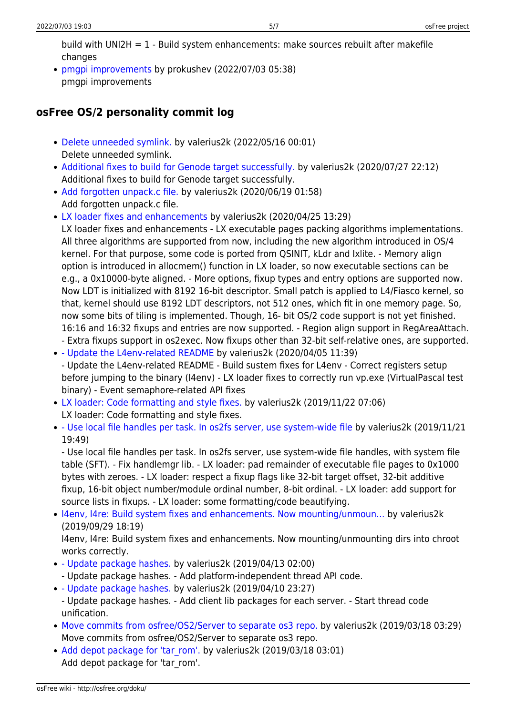build with UNI2H =  $1$  - Build system enhancements: make sources rebuilt after makefile changes

[pmgpi improvements](https://github.com/osfree-project/osfree/commit/ec502d5ee3ff311d2a71687b4c1166c9d4d1c842) by prokushev (2022/07/03 05:38) pmgpi improvements

# **osFree OS/2 personality commit log**

- [Delete unneeded symlink.](https://github.com/osfree-project/os3/commit/1042e4bcd711e31a893cd0b4cfe657c689fc3e7c) by valerius2k (2022/05/16 00:01) Delete unneeded symlink.
- [Additional fixes to build for Genode target successfully.](https://github.com/osfree-project/os3/commit/328f3547d1dffa00c45371c445fdcb0470eb1b98) by valerius2k (2020/07/27 22:12) Additional fixes to build for Genode target successfully.
- [Add forgotten unpack.c file.](https://github.com/osfree-project/os3/commit/842b1177761bd3d5364e90b1e7ca09f9e47c15ab) by valerius2k (2020/06/19 01:58) Add forgotten unpack.c file.
- [LX loader fixes and enhancements](https://github.com/osfree-project/os3/commit/bc8d22291c9912c8f92f1fd2a74e4708252fe41c) by valerius2k (2020/04/25 13:29) LX loader fixes and enhancements - LX executable pages packing algorithms implementations. All three algorithms are supported from now, including the new algorithm introduced in OS/4 kernel. For that purpose, some code is ported from QSINIT, kLdr and lxlite. - Memory align option is introduced in allocmem() function in LX loader, so now executable sections can be e.g., a 0x10000-byte aligned. - More options, fixup types and entry options are supported now. Now LDT is initialized with 8192 16-bit descriptor. Small patch is applied to L4/Fiasco kernel, so that, kernel should use 8192 LDT descriptors, not 512 ones, which fit in one memory page. So, now some bits of tiling is implemented. Though, 16- bit OS/2 code support is not yet finished. 16:16 and 16:32 fixups and entries are now supported. - Region align support in RegAreaAttach. - Extra fixups support in os2exec. Now fixups other than 32-bit self-relative ones, are supported.
- [Update the L4env-related README](https://github.com/osfree-project/os3/commit/73b9c86bcaa24227af2fa802b2c048cf78cba6d9) by valerius2k (2020/04/05 11:39) - Update the L4env-related README - Build sustem fixes for L4env - Correct registers setup
- before jumping to the binary (l4env) LX loader fixes to correctly run vp.exe (VirtualPascal test binary) - Event semaphore-related API fixes
- [LX loader: Code formatting and style fixes.](https://github.com/osfree-project/os3/commit/2a3cf7dee03de10101c29c99972044ad793d7f34) by valerius2k (2019/11/22 07:06) LX loader: Code formatting and style fixes.
- [Use local file handles per task. In os2fs server, use system-wide file](https://github.com/osfree-project/os3/commit/de9ed0658908532698c5f7f6082d0493fd69afb1) by valerius2k (2019/11/21 19:49)

- Use local file handles per task. In os2fs server, use system-wide file handles, with system file table (SFT). - Fix handlemgr lib. - LX loader: pad remainder of executable file pages to 0x1000 bytes with zeroes. - LX loader: respect a fixup flags like 32-bit target offset, 32-bit additive fixup, 16-bit object number/module ordinal number, 8-bit ordinal. - LX loader: add support for source lists in fixups. - LX loader: some formatting/code beautifying.

[l4env, l4re: Build system fixes and enhancements. Now mounting/unmoun…](https://github.com/osfree-project/os3/commit/6982b46100cde39e29b9c9a237faa8b70a415ca1) by valerius2k (2019/09/29 18:19)

l4env, l4re: Build system fixes and enhancements. Now mounting/unmounting dirs into chroot works correctly.

- [Update package hashes.](https://github.com/osfree-project/os3/commit/04efd404248de0a49ef882dd5e3217509cd40046) by valerius2k (2019/04/13 02:00)
- Update package hashes. Add platform-independent thread API code.
- [Update package hashes.](https://github.com/osfree-project/os3/commit/1a2f8bd28f6d1af2a4a995392406e2f2f3980b5b) by valerius2k (2019/04/10 23:27)
	- Update package hashes. Add client lib packages for each server. Start thread code unification.
- [Move commits from osfree/OS2/Server to separate os3 repo.](https://github.com/osfree-project/os3/commit/626e58bde527ef68ea6d64b724f143cd91241653) by valerius2k (2019/03/18 03:29) Move commits from osfree/OS2/Server to separate os3 repo.
- Add depot package for 'tar rom'. by valerius2k (2019/03/18 03:01) Add depot package for 'tar rom'.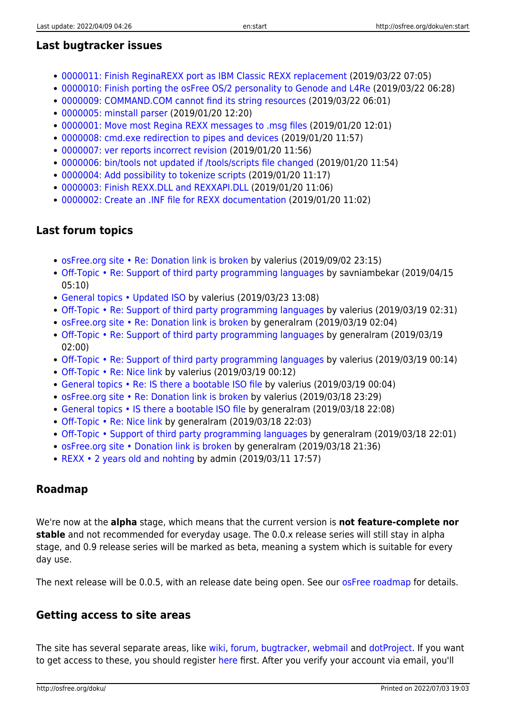# **Last bugtracker issues**

- [0000011: Finish ReginaREXX port as IBM Classic REXX replacement](http://osfree.org/mantis/view.php?id=11) (2019/03/22 07:05)
- [0000010: Finish porting the osFree OS/2 personality to Genode and L4Re](http://osfree.org/mantis/view.php?id=10) (2019/03/22 06:28)
- [0000009: COMMAND.COM cannot find its string resources](http://osfree.org/mantis/view.php?id=9) (2019/03/22 06:01)
- [0000005: minstall parser](http://osfree.org/mantis/view.php?id=5) (2019/01/20 12:20)
- [0000001: Move most Regina REXX messages to .msg files](http://osfree.org/mantis/view.php?id=1) (2019/01/20 12:01)
- [0000008: cmd.exe redirection to pipes and devices](http://osfree.org/mantis/view.php?id=8) (2019/01/20 11:57)
- [0000007: ver reports incorrect revision](http://osfree.org/mantis/view.php?id=7) (2019/01/20 11:56)
- [0000006: bin/tools not updated if /tools/scripts file changed](http://osfree.org/mantis/view.php?id=6) (2019/01/20 11:54)
- [0000004: Add possibility to tokenize scripts](http://osfree.org/mantis/view.php?id=4) (2019/01/20 11:17)
- [0000003: Finish REXX.DLL and REXXAPI.DLL](http://osfree.org/mantis/view.php?id=3) (2019/01/20 11:06)
- [0000002: Create an .INF file for REXX documentation](http://osfree.org/mantis/view.php?id=2) (2019/01/20 11:02)

# **Last forum topics**

- [osFree.org site Re: Donation link is broken](http://osfree.org/forum/viewtopic.php?p=1946#p1946) by valerius (2019/09/02 23:15)
- [Off-Topic Re: Support of third party programming languages](http://osfree.org/forum/viewtopic.php?p=1945#p1945) by savniambekar (2019/04/15 05:10)
- [General topics Updated ISO](http://osfree.org/forum/viewtopic.php?p=1944#p1944) by valerius (2019/03/23 13:08)
- [Off-Topic Re: Support of third party programming languages](http://osfree.org/forum/viewtopic.php?p=1943#p1943) by valerius (2019/03/19 02:31)
- [osFree.org site Re: Donation link is broken](http://osfree.org/forum/viewtopic.php?p=1942#p1942) by generalram (2019/03/19 02:04)
- [Off-Topic Re: Support of third party programming languages](http://osfree.org/forum/viewtopic.php?p=1941#p1941) by generalram (2019/03/19 02:00)
- [Off-Topic Re: Support of third party programming languages](http://osfree.org/forum/viewtopic.php?p=1940#p1940) by valerius (2019/03/19 00:14)
- [Off-Topic Re: Nice link](http://osfree.org/forum/viewtopic.php?p=1939#p1939) by valerius (2019/03/19 00:12)
- [General topics Re: IS there a bootable ISO file](http://osfree.org/forum/viewtopic.php?p=1938#p1938) by valerius (2019/03/19 00:04)
- [osFree.org site Re: Donation link is broken](http://osfree.org/forum/viewtopic.php?p=1937#p1937) by valerius (2019/03/18 23:29)
- [General topics IS there a bootable ISO file](http://osfree.org/forum/viewtopic.php?p=1936#p1936) by generalram (2019/03/18 22:08)
- [Off-Topic Re: Nice link](http://osfree.org/forum/viewtopic.php?p=1935#p1935) by generalram (2019/03/18 22:03)
- [Off-Topic Support of third party programming languages](http://osfree.org/forum/viewtopic.php?p=1934#p1934) by generalram (2019/03/18 22:01)
- [osFree.org site Donation link is broken](http://osfree.org/forum/viewtopic.php?p=1933#p1933) by generalram (2019/03/18 21:36)
- [REXX 2 years old and nohting](http://osfree.org/forum/viewtopic.php?p=1932#p1932) by admin (2019/03/11 17:57)

# **Roadmap**

We're now at the **alpha** stage, which means that the current version is **not feature-complete nor stable** and not recommended for everyday usage. The 0.0.x release series will still stay in alpha stage, and 0.9 release series will be marked as beta, meaning a system which is suitable for every day use.

The next release will be 0.0.5, with an release date being open. See our [osFree roadmap](http://osfree.org/doku/en:roadmap) for details.

# **Getting access to site areas**

The site has several separate areas, like [wiki](#page-0-0), [forum](http://osfree.org/forum/), [bugtracker,](http://osfree.org/mantis/) [webmail](http://osfree.org/roundcube/) and [dotProject.](http://osfree.org/dp/) If you want to get access to these, you should register [here](http://osfree.org/forum/ucp.php?mode=register) first. After you verify your account via email, you'll